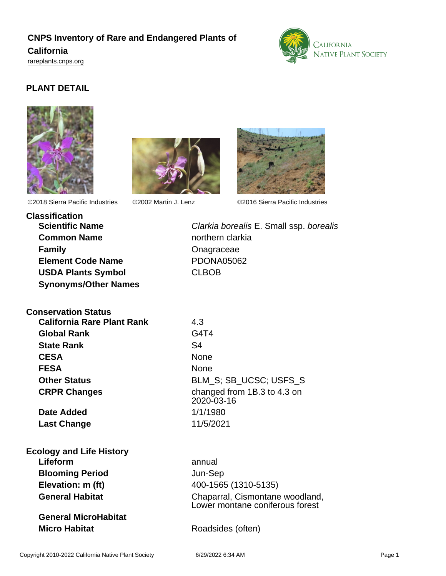# **CNPS Inventory of Rare and Endangered Plants of**

### **California**

<rareplants.cnps.org>



## **PLANT DETAIL**







©2018 Sierra Pacific Industries ©2002 Martin J. Lenz ©2016 Sierra Pacific Industries

**Classification Common Name** northern clarkia **Family Construction Construction Construction Construction Construction Construction Construction Construction Construction Construction Construction Construction Construction Construction Construction Construction Cons Element Code Name** PDONA05062 **USDA Plants Symbol** CLBOB **Synonyms/Other Names**

**Scientific Name** Clarkia borealis E. Small ssp. borealis

| <b>Conservation Status</b> |  |
|----------------------------|--|
|                            |  |

**California Rare Plant Rank** 4.3 **Global Rank** G4T4 **State Rank** S4 **CESA** None FESA None

**Date Added** 1/1/1980 **Last Change** 11/5/2021

**Other Status** BLM\_S; SB\_UCSC; USFS\_S **CRPR Changes** changed from 1B.3 to 4.3 on 2020-03-16

**Ecology and Life History Lifeform** annual **Blooming Period** Jun-Sep **Elevation: m (ft)** 400-1565 (1310-5135)

**General MicroHabitat Micro Habitat** Roadsides (often)

**General Habitat** Chaparral, Cismontane woodland, Lower montane coniferous forest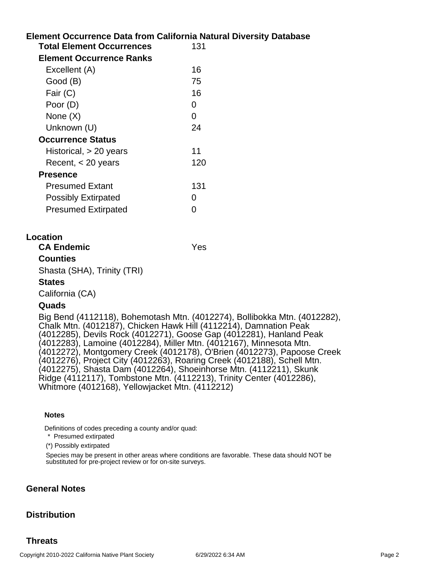| <b>Element Occurrence Data from California Natural Diversity Database</b> |               |
|---------------------------------------------------------------------------|---------------|
| <b>Total Element Occurrences</b>                                          | 131           |
| <b>Element Occurrence Ranks</b>                                           |               |
| Excellent (A)                                                             | 16            |
| Good (B)                                                                  | 75            |
| Fair (C)                                                                  | 16            |
| Poor (D)                                                                  | 0             |
| None $(X)$                                                                | 0             |
| Unknown (U)                                                               | 24            |
| <b>Occurrence Status</b>                                                  |               |
| Historical, $> 20$ years                                                  | 11            |
| Recent, $<$ 20 years                                                      | 120           |
| <b>Presence</b>                                                           |               |
| <b>Presumed Extant</b>                                                    | 131           |
| <b>Possibly Extirpated</b>                                                | $\mathcal{L}$ |
| <b>Presumed Extirpated</b>                                                | O             |
|                                                                           |               |

### **Location**

### **CA Endemic** Yes

### **Counties**

Shasta (SHA), Trinity (TRI)

### **States**

California (CA)

### **Quads**

Big Bend (4112118), Bohemotash Mtn. (4012274), Bollibokka Mtn. (4012282), Chalk Mtn. (4012187), Chicken Hawk Hill (4112214), Damnation Peak (4012285), Devils Rock (4012271), Goose Gap (4012281), Hanland Peak (4012283), Lamoine (4012284), Miller Mtn. (4012167), Minnesota Mtn. (4012272), Montgomery Creek (4012178), O'Brien (4012273), Papoose Creek (4012276), Project City (4012263), Roaring Creek (4012188), Schell Mtn. (4012275), Shasta Dam (4012264), Shoeinhorse Mtn. (4112211), Skunk Ridge (4112117), Tombstone Mtn. (4112213), Trinity Center (4012286), Whitmore (4012168), Yellowjacket Mtn. (4112212)

#### **Notes**

Definitions of codes preceding a county and/or quad:

\* Presumed extirpated

(\*) Possibly extirpated

Species may be present in other areas where conditions are favorable. These data should NOT be substituted for pre-project review or for on-site surveys.

### **General Notes**

### **Distribution**

### **Threats**